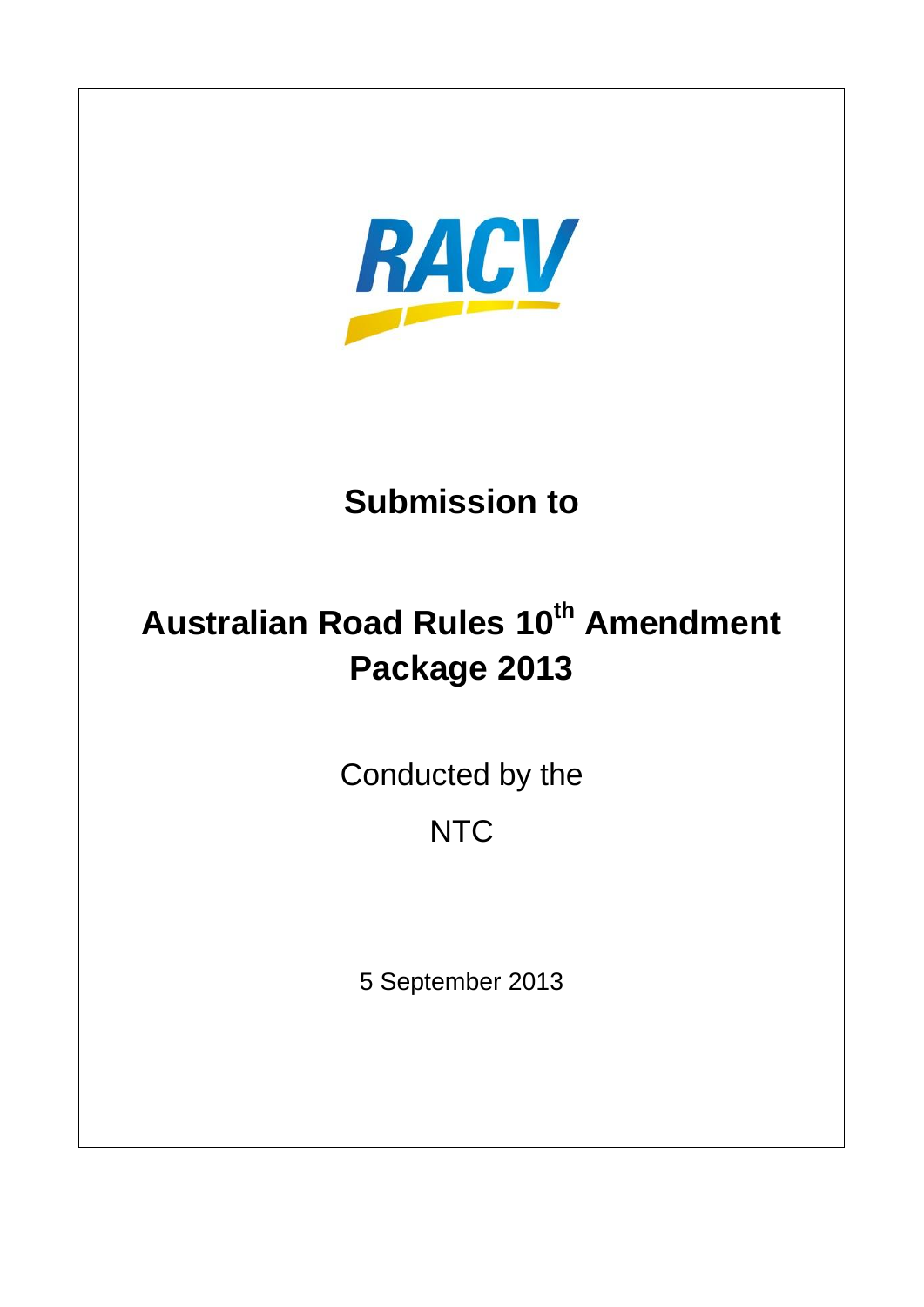

# **Submission to**

# **Australian Road Rules 10th Amendment Package 2013**

Conducted by the

# **NTC**

5 September 2013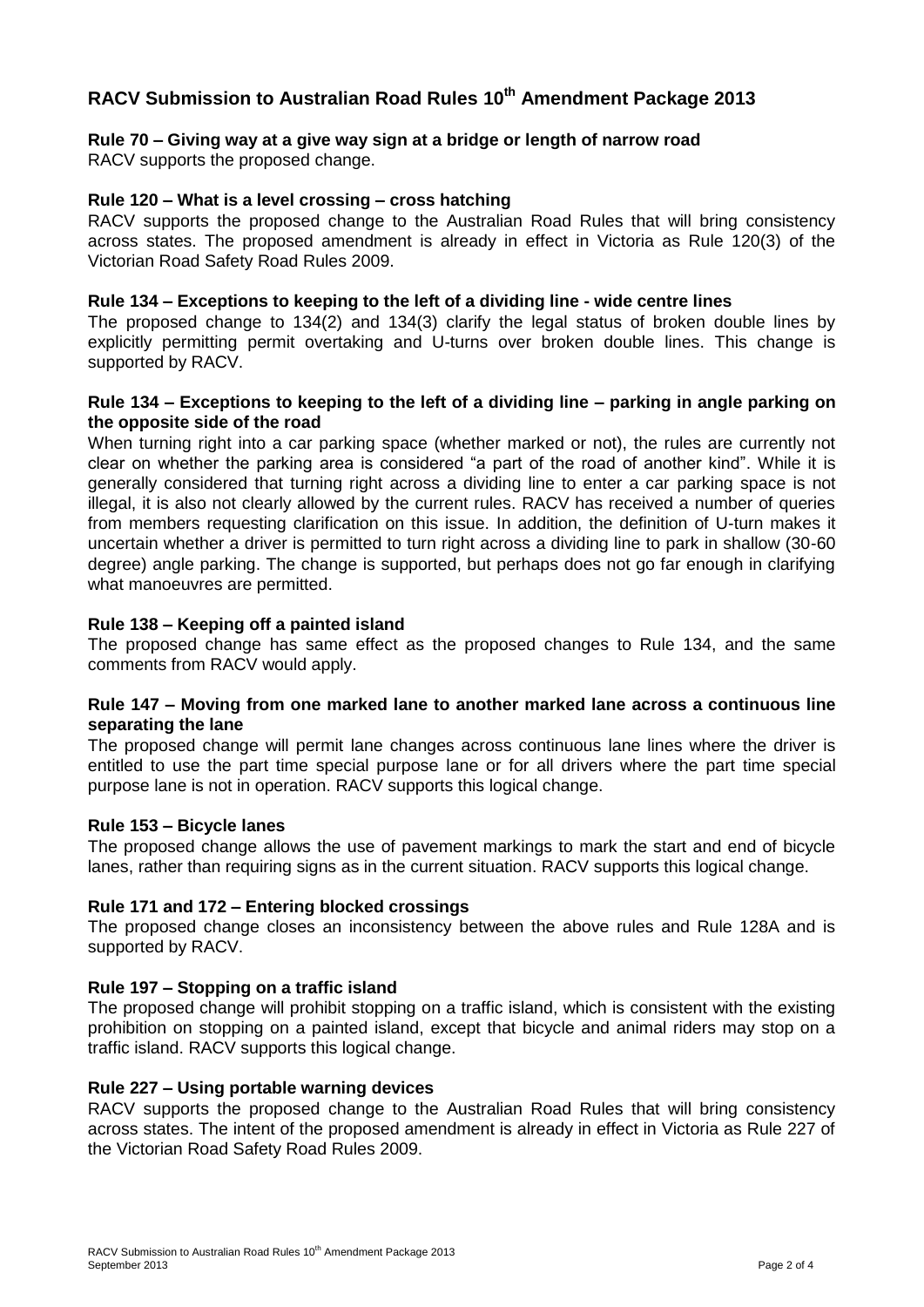# **RACV Submission to Australian Road Rules 10th Amendment Package 2013**

# **Rule 70 – Giving way at a give way sign at a bridge or length of narrow road**

RACV supports the proposed change.

# **Rule 120 – What is a level crossing – cross hatching**

RACV supports the proposed change to the Australian Road Rules that will bring consistency across states. The proposed amendment is already in effect in Victoria as Rule 120(3) of the Victorian Road Safety Road Rules 2009.

#### **Rule 134 – Exceptions to keeping to the left of a dividing line - wide centre lines**

The proposed change to 134(2) and 134(3) clarify the legal status of broken double lines by explicitly permitting permit overtaking and U-turns over broken double lines. This change is supported by RACV.

#### **Rule 134 – Exceptions to keeping to the left of a dividing line – parking in angle parking on the opposite side of the road**

When turning right into a car parking space (whether marked or not), the rules are currently not clear on whether the parking area is considered "a part of the road of another kind". While it is generally considered that turning right across a dividing line to enter a car parking space is not illegal, it is also not clearly allowed by the current rules. RACV has received a number of queries from members requesting clarification on this issue. In addition, the definition of U-turn makes it uncertain whether a driver is permitted to turn right across a dividing line to park in shallow (30-60 degree) angle parking. The change is supported, but perhaps does not go far enough in clarifying what manoeuvres are permitted.

#### **Rule 138 – Keeping off a painted island**

The proposed change has same effect as the proposed changes to Rule 134, and the same comments from RACV would apply.

#### **Rule 147 – Moving from one marked lane to another marked lane across a continuous line separating the lane**

The proposed change will permit lane changes across continuous lane lines where the driver is entitled to use the part time special purpose lane or for all drivers where the part time special purpose lane is not in operation. RACV supports this logical change.

#### **Rule 153 – Bicycle lanes**

The proposed change allows the use of pavement markings to mark the start and end of bicycle lanes, rather than requiring signs as in the current situation. RACV supports this logical change.

#### **Rule 171 and 172 – Entering blocked crossings**

The proposed change closes an inconsistency between the above rules and Rule 128A and is supported by RACV.

#### **Rule 197 – Stopping on a traffic island**

The proposed change will prohibit stopping on a traffic island, which is consistent with the existing prohibition on stopping on a painted island, except that bicycle and animal riders may stop on a traffic island. RACV supports this logical change.

#### **Rule 227 – Using portable warning devices**

RACV supports the proposed change to the Australian Road Rules that will bring consistency across states. The intent of the proposed amendment is already in effect in Victoria as Rule 227 of the Victorian Road Safety Road Rules 2009.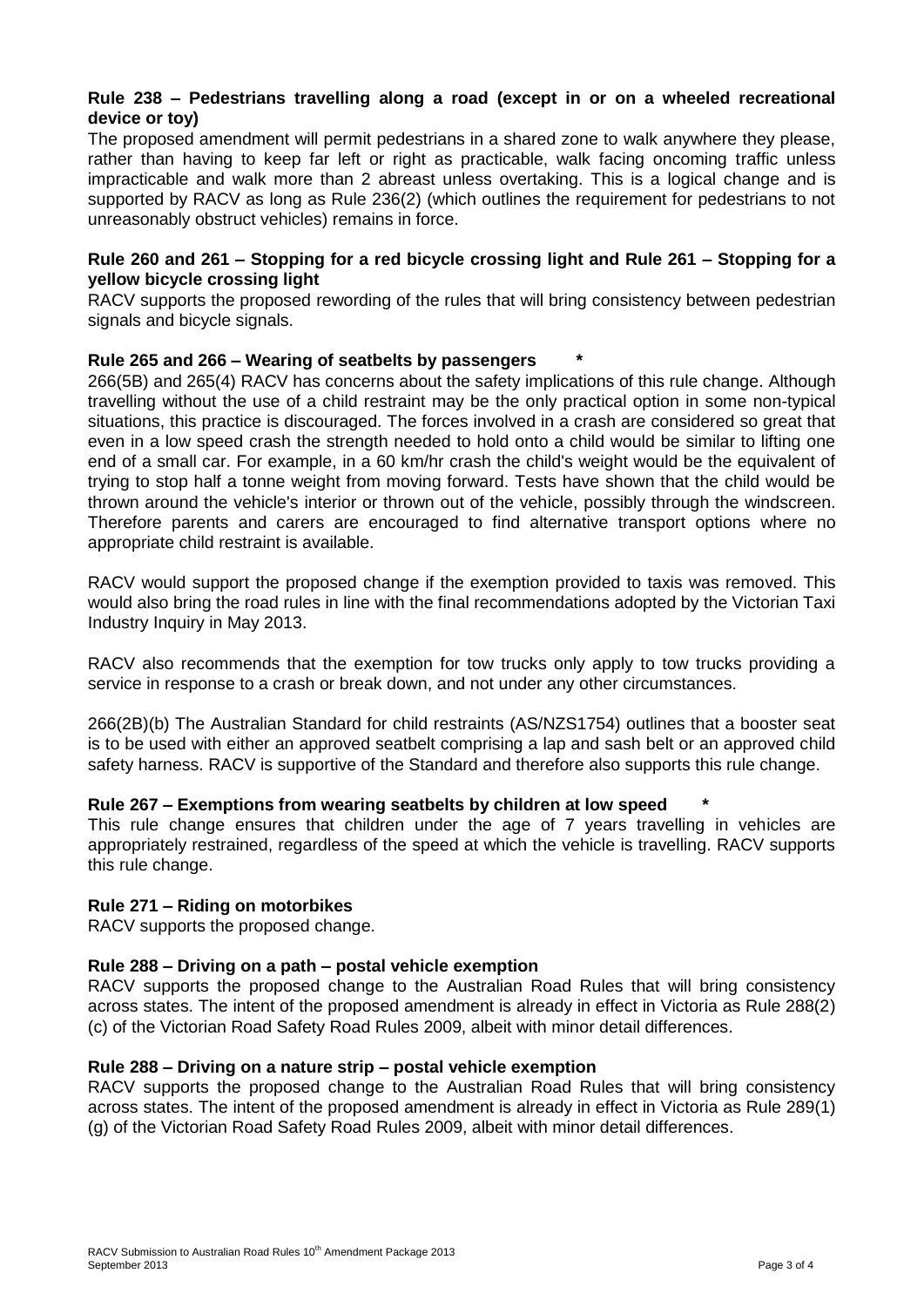# **Rule 238 – Pedestrians travelling along a road (except in or on a wheeled recreational device or toy)**

The proposed amendment will permit pedestrians in a shared zone to walk anywhere they please, rather than having to keep far left or right as practicable, walk facing oncoming traffic unless impracticable and walk more than 2 abreast unless overtaking. This is a logical change and is supported by RACV as long as Rule 236(2) (which outlines the requirement for pedestrians to not unreasonably obstruct vehicles) remains in force.

# **Rule 260 and 261 – Stopping for a red bicycle crossing light and Rule 261 – Stopping for a yellow bicycle crossing light**

RACV supports the proposed rewording of the rules that will bring consistency between pedestrian signals and bicycle signals.

# **Rule 265 and 266 – Wearing of seatbelts by passengers \***

266(5B) and 265(4) RACV has concerns about the safety implications of this rule change. Although travelling without the use of a child restraint may be the only practical option in some non-typical situations, this practice is discouraged. The forces involved in a crash are considered so great that even in a low speed crash the strength needed to hold onto a child would be similar to lifting one end of a small car. For example, in a 60 km/hr crash the child's weight would be the equivalent of trying to stop half a tonne weight from moving forward. Tests have shown that the child would be thrown around the vehicle's interior or thrown out of the vehicle, possibly through the windscreen. Therefore parents and carers are encouraged to find alternative transport options where no appropriate child restraint is available.

RACV would support the proposed change if the exemption provided to taxis was removed. This would also bring the road rules in line with the final recommendations adopted by the Victorian Taxi Industry Inquiry in May 2013.

RACV also recommends that the exemption for tow trucks only apply to tow trucks providing a service in response to a crash or break down, and not under any other circumstances.

266(2B)(b) The Australian Standard for child restraints (AS/NZS1754) outlines that a booster seat is to be used with either an approved seatbelt comprising a lap and sash belt or an approved child safety harness. RACV is supportive of the Standard and therefore also supports this rule change.

# **Rule 267 – Exemptions from wearing seatbelts by children at low speed \***

This rule change ensures that children under the age of 7 years travelling in vehicles are appropriately restrained, regardless of the speed at which the vehicle is travelling. RACV supports this rule change.

# **Rule 271 – Riding on motorbikes**

RACV supports the proposed change.

#### **Rule 288 – Driving on a path – postal vehicle exemption**

RACV supports the proposed change to the Australian Road Rules that will bring consistency across states. The intent of the proposed amendment is already in effect in Victoria as Rule 288(2) (c) of the Victorian Road Safety Road Rules 2009, albeit with minor detail differences.

#### **Rule 288 – Driving on a nature strip – postal vehicle exemption**

RACV supports the proposed change to the Australian Road Rules that will bring consistency across states. The intent of the proposed amendment is already in effect in Victoria as Rule 289(1) (g) of the Victorian Road Safety Road Rules 2009, albeit with minor detail differences.